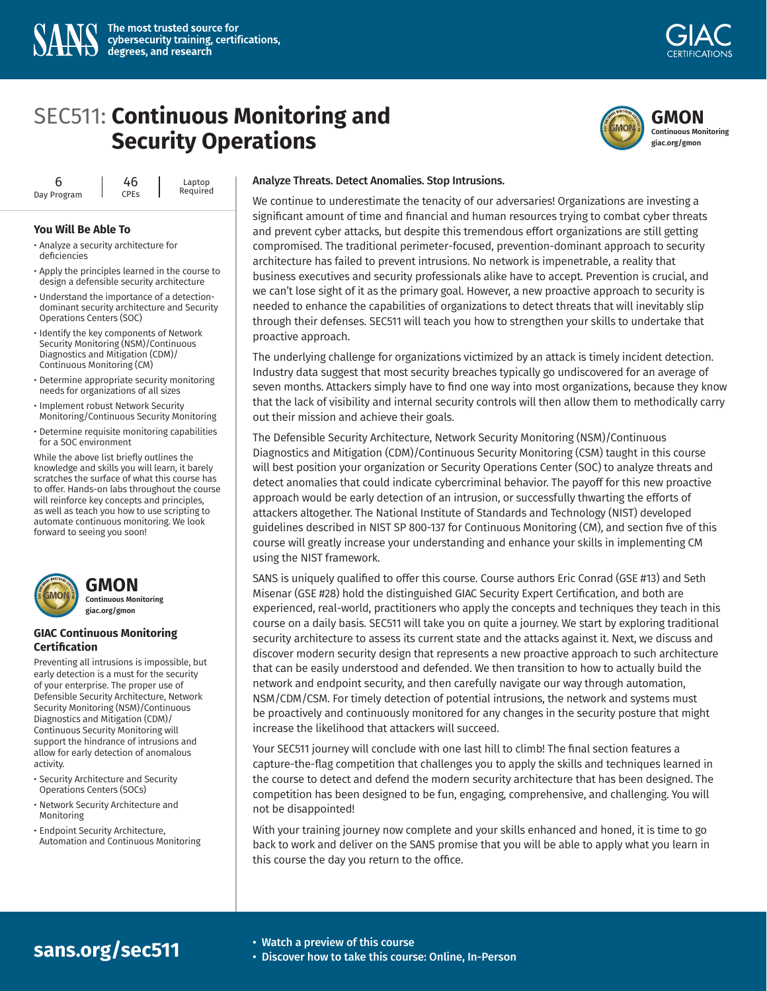



6 Day Program 46 CPEs Laptop Required

#### **You Will Be Able To**

- Analyze a security architecture for deficiencies
- Apply the principles learned in the course to design a defensible security architecture
- Understand the importance of a detectiondominant security architecture and Security Operations Centers (SOC)
- Identify the key components of Network Security Monitoring (NSM)/Continuous Diagnostics and Mitigation (CDM)/ Continuous Monitoring (CM)
- Determine appropriate security monitoring needs for organizations of all sizes
- Implement robust Network Security Monitoring/Continuous Security Monitoring
- Determine requisite monitoring capabilities for a SOC environment

While the above list briefly outlines the knowledge and skills you will learn, it barely scratches the surface of what this course has to offer. Hands-on labs throughout the course will reinforce key concepts and principles, as well as teach you how to use scripting to automate continuous monitoring. We look forward to seeing you soon!





**Continuous Monitoring giac.org/gmon**

#### **GIAC Continuous Monitoring Certification**

Preventing all intrusions is impossible, but early detection is a must for the security of your enterprise. The proper use of Defensible Security Architecture, Network Security Monitoring (NSM)/Continuous Diagnostics and Mitigation (CDM)/ Continuous Security Monitoring will support the hindrance of intrusions and allow for early detection of anomalous activity.

- Security Architecture and Security Operations Centers (SOCs)
- Network Security Architecture and Monitoring
- Endpoint Security Architecture, Automation and Continuous Monitoring

#### Analyze Threats. Detect Anomalies. Stop Intrusions.

We continue to underestimate the tenacity of our adversaries! Organizations are investing a significant amount of time and financial and human resources trying to combat cyber threats and prevent cyber attacks, but despite this tremendous effort organizations are still getting compromised. The traditional perimeter-focused, prevention-dominant approach to security architecture has failed to prevent intrusions. No network is impenetrable, a reality that business executives and security professionals alike have to accept. Prevention is crucial, and we can't lose sight of it as the primary goal. However, a new proactive approach to security is needed to enhance the capabilities of organizations to detect threats that will inevitably slip through their defenses. SEC511 will teach you how to strengthen your skills to undertake that proactive approach.

The underlying challenge for organizations victimized by an attack is timely incident detection. Industry data suggest that most security breaches typically go undiscovered for an average of seven months. Attackers simply have to find one way into most organizations, because they know that the lack of visibility and internal security controls will then allow them to methodically carry out their mission and achieve their goals.

The Defensible Security Architecture, Network Security Monitoring (NSM)/Continuous Diagnostics and Mitigation (CDM)/Continuous Security Monitoring (CSM) taught in this course will best position your organization or Security Operations Center (SOC) to analyze threats and detect anomalies that could indicate cybercriminal behavior. The payoff for this new proactive approach would be early detection of an intrusion, or successfully thwarting the efforts of attackers altogether. The National Institute of Standards and Technology (NIST) developed guidelines described in NIST SP 800-137 for Continuous Monitoring (CM), and section five of this course will greatly increase your understanding and enhance your skills in implementing CM using the NIST framework.

SANS is uniquely qualified to offer this course. Course authors Eric Conrad (GSE #13) and Seth Misenar (GSE #28) hold the distinguished GIAC Security Expert Certification, and both are experienced, real-world, practitioners who apply the concepts and techniques they teach in this course on a daily basis. SEC511 will take you on quite a journey. We start by exploring traditional security architecture to assess its current state and the attacks against it. Next, we discuss and discover modern security design that represents a new proactive approach to such architecture that can be easily understood and defended. We then transition to how to actually build the network and endpoint security, and then carefully navigate our way through automation, NSM/CDM/CSM. For timely detection of potential intrusions, the network and systems must be proactively and continuously monitored for any changes in the security posture that might increase the likelihood that attackers will succeed.

Your SEC511 journey will conclude with one last hill to climb! The final section features a capture-the-flag competition that challenges you to apply the skills and techniques learned in the course to detect and defend the modern security architecture that has been designed. The competition has been designed to be fun, engaging, comprehensive, and challenging. You will not be disappointed!

With your training journey now complete and your skills enhanced and honed, it is time to go back to work and deliver on the SANS promise that you will be able to apply what you learn in this course the day you return to the office.

# **Sans.org/sec511** • Watch a preview of this course<br> [• Discover how to take this course: Online, In-Person](https://www.sans.org/cyber-security-courses/continuous-monitoring-security-operations/)

- 
-